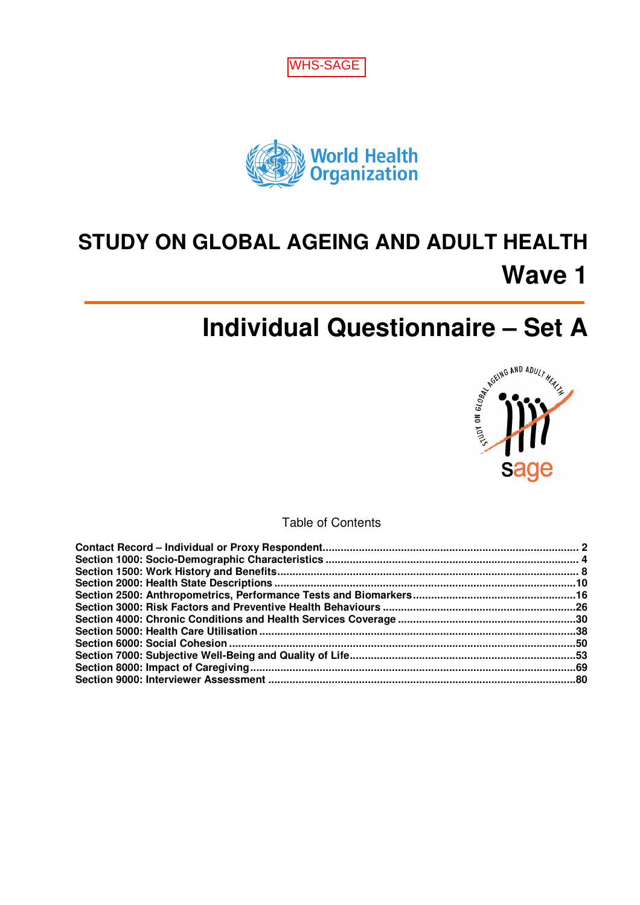



# **STUDY ON GLOBAL AGEING AND ADULT HEALTH Wave 1**



Table of Contents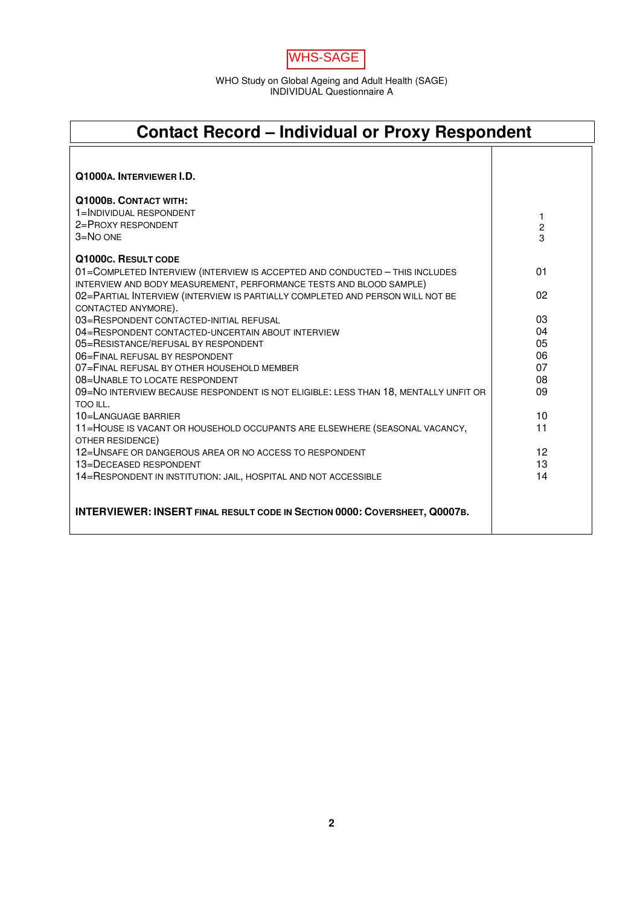WHS-SAGE

| <b>Contact Record – Individual or Proxy Respondent</b>                                                                                             |             |  |  |  |
|----------------------------------------------------------------------------------------------------------------------------------------------------|-------------|--|--|--|
|                                                                                                                                                    |             |  |  |  |
| Q1000A. INTERVIEWER I.D.                                                                                                                           |             |  |  |  |
| Q1000B. CONTACT WITH:                                                                                                                              |             |  |  |  |
| 1=INDIVIDUAL RESPONDENT                                                                                                                            | 1           |  |  |  |
| 2=PROXY RESPONDENT                                                                                                                                 | $\mathbf 2$ |  |  |  |
| $3 = NO$ ONE                                                                                                                                       | 3           |  |  |  |
| Q1000c. RESULT CODE                                                                                                                                |             |  |  |  |
| 01=COMPLETED INTERVIEW (INTERVIEW IS ACCEPTED AND CONDUCTED - THIS INCLUDES<br>INTERVIEW AND BODY MEASUREMENT, PERFORMANCE TESTS AND BLOOD SAMPLE) | 01          |  |  |  |
| 02=PARTIAL INTERVIEW (INTERVIEW IS PARTIALLY COMPLETED AND PERSON WILL NOT BE<br>CONTACTED ANYMORE).                                               | 02          |  |  |  |
| 03=RESPONDENT CONTACTED-INITIAL REFUSAL                                                                                                            | 03          |  |  |  |
| 04=RESPONDENT CONTACTED-UNCERTAIN ABOUT INTERVIEW                                                                                                  | 04          |  |  |  |
| 05=RESISTANCE/REFUSAL BY RESPONDENT                                                                                                                | 05          |  |  |  |
| 06=FINAL REFUSAL BY RESPONDENT                                                                                                                     | 06          |  |  |  |
| 07=FINAL REFUSAL BY OTHER HOUSEHOLD MEMBER                                                                                                         | 07          |  |  |  |
| 08=UNABLE TO LOCATE RESPONDENT                                                                                                                     | 08          |  |  |  |
| 09=NO INTERVIEW BECAUSE RESPONDENT IS NOT ELIGIBLE: LESS THAN 18, MENTALLY UNFIT OR<br>TOO ILL.                                                    | 09          |  |  |  |
| 10=LANGUAGE BARRIER                                                                                                                                | 10          |  |  |  |
| 11=HOUSE IS VACANT OR HOUSEHOLD OCCUPANTS ARE ELSEWHERE (SEASONAL VACANCY,<br>OTHER RESIDENCE)                                                     | 11          |  |  |  |
| 12=UNSAFE OR DANGEROUS AREA OR NO ACCESS TO RESPONDENT                                                                                             | 12          |  |  |  |
| 13=DECEASED RESPONDENT                                                                                                                             | 13          |  |  |  |
| 14=RESPONDENT IN INSTITUTION: JAIL, HOSPITAL AND NOT ACCESSIBLE                                                                                    | 14          |  |  |  |
| INTERVIEWER: INSERT FINAL RESULT CODE IN SECTION 0000: COVERSHEET, Q0007B.                                                                         |             |  |  |  |

 $\mathsf{l}$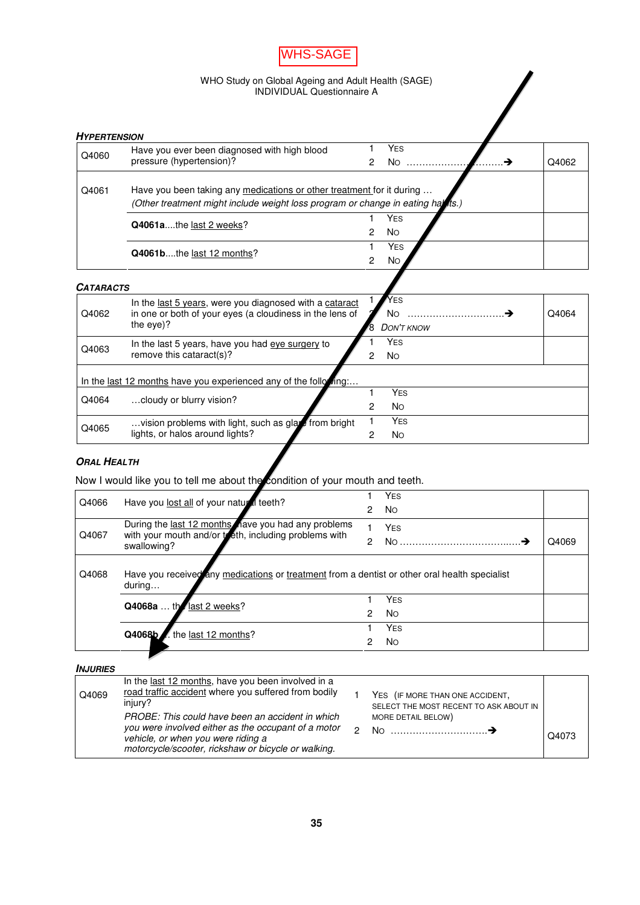

| <b>HYPERTENSION</b> |                                                                                                                                                           |   |                |       |
|---------------------|-----------------------------------------------------------------------------------------------------------------------------------------------------------|---|----------------|-------|
| Q4060               | Have you ever been diagnosed with high blood                                                                                                              |   | <b>YES</b>     |       |
|                     | pressure (hypertension)?                                                                                                                                  | 2 | N <sub>O</sub> | Q4062 |
| Q4061               | Have you been taking any medications or other treatment for it during<br>(Other treatment might include weight loss program or change in eating hat its.) |   |                |       |
|                     | Q4061athe last 2 weeks?                                                                                                                                   |   | <b>YES</b>     |       |
|                     |                                                                                                                                                           | 2 | <b>No</b>      |       |
|                     | Q4061bthe last 12 months?                                                                                                                                 |   | <b>YES</b>     |       |
|                     |                                                                                                                                                           |   | No             |       |

### **CATARACTS**

| Q4064<br><b>DON'T KNOW</b> |
|----------------------------|
|                            |
|                            |
|                            |
|                            |
|                            |
|                            |
|                            |
|                            |

 $\blacksquare$ 

# **ORAL HEALTH**

Now I would like you to tell me about the condition of your mouth and teeth.

| Q4066 | Have you lost all of your natural teeth?                                                                      |   | <b>YES</b>     |       |
|-------|---------------------------------------------------------------------------------------------------------------|---|----------------|-------|
|       |                                                                                                               |   | <b>No</b>      |       |
| Q4067 | During the last 12 months nave you had any problems<br>with your mouth and/or to eth, including problems with |   | <b>YES</b>     |       |
|       | swallowing?                                                                                                   | 2 | No             | Q4069 |
| Q4068 | Have you received any medications or treatment from a dentist or other oral health specialist<br>during       |   |                |       |
|       | Q4068a  the last 2 weeks?                                                                                     |   | <b>YES</b>     |       |
|       |                                                                                                               | 2 | <b>No</b>      |       |
|       | the last 12 months?<br>Q4068b/                                                                                |   | <b>YES</b>     |       |
|       |                                                                                                               | 2 | N <sub>O</sub> |       |

**INJURIES**

| Q4069 | In the last 12 months, have you been involved in a<br>road traffic accident where you suffered from bodily<br>injury?<br>PROBE: This could have been an accident in which<br>you were involved either as the occupant of a motor<br>vehicle, or when you were riding a | YES (IF MORE THAN ONE ACCIDENT,<br>SELECT THE MOST RECENT TO ASK ABOUT IN<br>MORE DETAIL BELOW)<br>No | Q4073 |
|-------|------------------------------------------------------------------------------------------------------------------------------------------------------------------------------------------------------------------------------------------------------------------------|-------------------------------------------------------------------------------------------------------|-------|
|       | motorcycle/scooter, rickshaw or bicycle or walking.                                                                                                                                                                                                                    |                                                                                                       |       |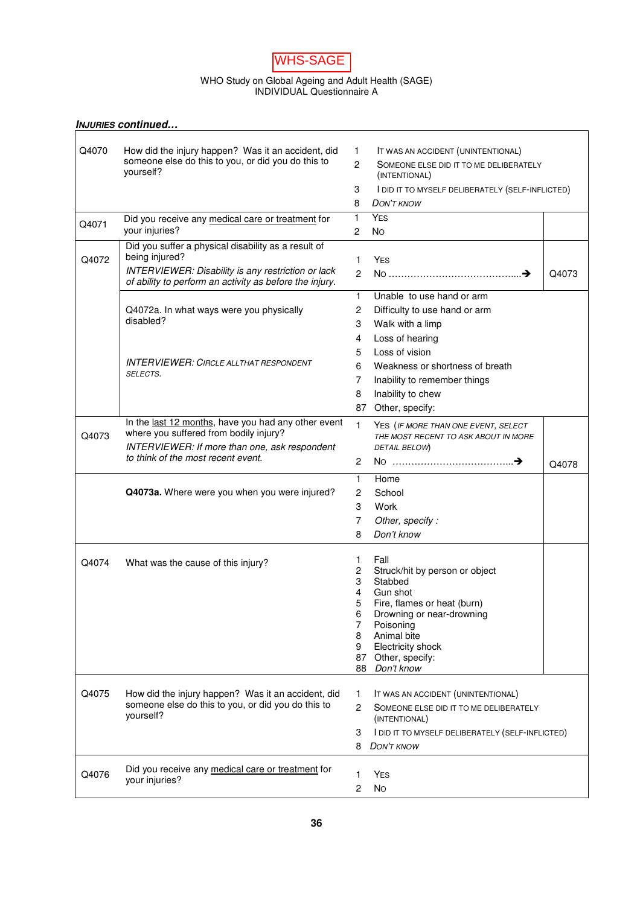

|       | <b>INJURIES continued</b>                                                                                     |                    |                                                                             |       |
|-------|---------------------------------------------------------------------------------------------------------------|--------------------|-----------------------------------------------------------------------------|-------|
|       |                                                                                                               |                    |                                                                             |       |
| Q4070 | How did the injury happen? Was it an accident, did                                                            | 1.<br>$\mathbf{2}$ | IT WAS AN ACCIDENT (UNINTENTIONAL)                                          |       |
|       | someone else do this to you, or did you do this to<br>yourself?                                               |                    | SOMEONE ELSE DID IT TO ME DELIBERATELY<br>(INTENTIONAL)                     |       |
|       |                                                                                                               | 3                  | I DID IT TO MYSELF DELIBERATELY (SELF-INFLICTED)                            |       |
|       |                                                                                                               | 8                  | <b>DON'T KNOW</b>                                                           |       |
|       | Did you receive any medical care or treatment for                                                             | 1                  | <b>YES</b>                                                                  |       |
| Q4071 | your injuries?                                                                                                | 2                  | <b>No</b>                                                                   |       |
| Q4072 | Did you suffer a physical disability as a result of<br>being injured?                                         | $\mathbf{1}$       | <b>YES</b>                                                                  |       |
|       | INTERVIEWER: Disability is any restriction or lack<br>of ability to perform an activity as before the injury. | $\overline{c}$     |                                                                             | Q4073 |
|       |                                                                                                               | 1                  | Unable to use hand or arm                                                   |       |
|       | Q4072a. In what ways were you physically                                                                      | $\mathbf{2}$       | Difficulty to use hand or arm                                               |       |
|       | disabled?                                                                                                     | 3                  | Walk with a limp                                                            |       |
|       |                                                                                                               | 4                  | Loss of hearing                                                             |       |
|       |                                                                                                               | 5                  | Loss of vision                                                              |       |
|       | <b>INTERVIEWER: CIRCLE ALLTHAT RESPONDENT</b>                                                                 | 6                  | Weakness or shortness of breath                                             |       |
|       | SELECTS.                                                                                                      | 7                  | Inability to remember things                                                |       |
|       |                                                                                                               | 8                  | Inability to chew                                                           |       |
|       |                                                                                                               | 87                 | Other, specify:                                                             |       |
|       | In the last 12 months, have you had any other event                                                           | $\mathbf{1}$       |                                                                             |       |
| Q4073 | where you suffered from bodily injury?                                                                        |                    | YES (IF MORE THAN ONE EVENT, SELECT<br>THE MOST RECENT TO ASK ABOUT IN MORE |       |
|       | INTERVIEWER: If more than one, ask respondent                                                                 |                    | DETAIL BELOW)                                                               |       |
|       | to think of the most recent event.                                                                            | $\mathbf{2}$       | No ………………………………→                                                            | Q4078 |
|       |                                                                                                               | 1                  | Home                                                                        |       |
|       | Q4073a. Where were you when you were injured?                                                                 | $\mathbf{2}$       | School                                                                      |       |
|       |                                                                                                               | 3                  | Work                                                                        |       |
|       |                                                                                                               | $\overline{7}$     | Other, specify:                                                             |       |
|       |                                                                                                               | 8                  | Don't know                                                                  |       |
|       |                                                                                                               |                    |                                                                             |       |
| Q4074 | What was the cause of this injury?                                                                            | 1.                 | Fall                                                                        |       |
|       |                                                                                                               | 2                  | Struck/hit by person or object                                              |       |
|       |                                                                                                               | 3<br>4             | Stabbed<br>Gun shot                                                         |       |
|       |                                                                                                               |                    | Fire, flames or heat (burn)                                                 |       |
|       |                                                                                                               | 6                  | Drowning or near-drowning                                                   |       |
|       |                                                                                                               | 7                  | Poisoning                                                                   |       |
|       |                                                                                                               | 8                  | Animal bite                                                                 |       |
|       |                                                                                                               | 9                  | Electricity shock                                                           |       |
|       |                                                                                                               | 87<br>88           | Other, specify:<br>Don't know                                               |       |
|       |                                                                                                               |                    |                                                                             |       |
| Q4075 | How did the injury happen? Was it an accident, did                                                            | 1.                 | IT WAS AN ACCIDENT (UNINTENTIONAL)                                          |       |
|       | someone else do this to you, or did you do this to<br>yourself?                                               |                    | SOMEONE ELSE DID IT TO ME DELIBERATELY<br>(INTENTIONAL)                     |       |
|       |                                                                                                               | 3                  | I DID IT TO MYSELF DELIBERATELY (SELF-INFLICTED)                            |       |
|       |                                                                                                               | 8                  | <b>DON'T KNOW</b>                                                           |       |
|       |                                                                                                               |                    |                                                                             |       |
| Q4076 | Did you receive any medical care or treatment for                                                             | 1                  | <b>YES</b>                                                                  |       |
|       | your injuries?                                                                                                | 2                  | <b>No</b>                                                                   |       |